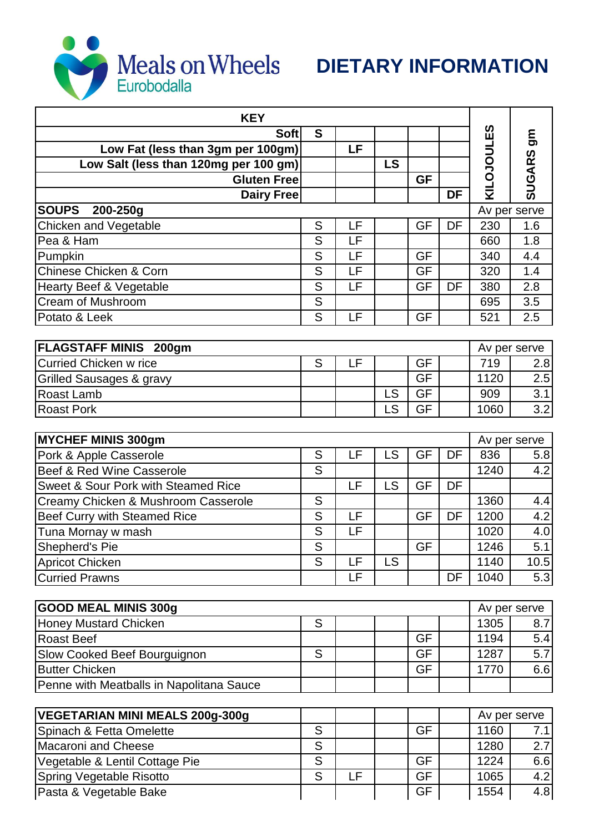

| <b>KEY</b>                               |                         |    |           |           |           |                   |               |
|------------------------------------------|-------------------------|----|-----------|-----------|-----------|-------------------|---------------|
| <b>Soft</b>                              | S                       |    |           |           |           | <b>KILOJOULES</b> | <u>ទ</u>      |
| Low Fat (less than 3gm per 100gm)        |                         | LF |           |           |           |                   |               |
| Low Salt (less than 120mg per 100 gm)    |                         |    | LS        |           |           |                   | <b>SUGARS</b> |
| <b>Gluten Free</b>                       |                         |    |           | <b>GF</b> |           |                   |               |
| Dairy Free                               |                         |    |           |           | <b>DF</b> |                   |               |
| <b>SOUPS</b><br>200-250g                 |                         |    |           |           |           |                   | Av per serve  |
| <b>Chicken and Vegetable</b>             | S                       | LF |           | <b>GF</b> | DF        | 230               | 1.6           |
| Pea & Ham                                | S                       | LF |           |           |           | 660               | 1.8           |
| Pumpkin                                  | $\overline{S}$          | LF |           | <b>GF</b> |           | 340               | 4.4           |
| <b>Chinese Chicken &amp; Corn</b>        | S                       | LF |           | GF        |           | 320               | 1.4           |
| Hearty Beef & Vegetable                  | S                       | LF |           | <b>GF</b> | DF        | 380               | 2.8           |
| Cream of Mushroom                        | S                       |    |           |           |           | 695               | 3.5           |
| Potato & Leek                            | S                       | LF |           | <b>GF</b> |           | 521               | 2.5           |
| FLAGSTAFF MINIS 200gm                    |                         |    |           |           |           |                   | Av per serve  |
| <b>Curried Chicken w rice</b>            | S                       | LF |           | <b>GF</b> |           | 719               | 2.8           |
| Grilled Sausages & gravy                 |                         |    |           | <b>GF</b> |           | 1120              | 2.5           |
| Roast Lamb                               |                         |    | LS        | <b>GF</b> |           | 909               | 3.1           |
| <b>Roast Pork</b>                        |                         |    | LS        | <b>GF</b> |           | 1060              | 3.2           |
| <b>MYCHEF MINIS 300gm</b>                |                         |    |           |           |           |                   | Av per serve  |
| Pork & Apple Casserole                   | S                       | LF | <b>LS</b> | GF        | DF        | 836               | 5.8           |
| Beef & Red Wine Casserole                | S                       |    |           |           |           | 1240              | 4.2           |
| Sweet & Sour Pork with Steamed Rice      |                         | LF | <b>LS</b> | <b>GF</b> | DF        |                   |               |
| Creamy Chicken & Mushroom Casserole      | S                       |    |           |           |           | 1360              | 4.4           |
| <b>Beef Curry with Steamed Rice</b>      | S                       | LF |           | <b>GF</b> | DF        | 1200              | 4.2           |
| Tuna Mornay w mash                       | $\overline{\mathsf{s}}$ | LF |           |           |           | 1020              | 4.0           |
| Shepherd's Pie                           | S                       |    |           | <b>GF</b> |           | 1246              | 5.1           |
| <b>Apricot Chicken</b>                   | S                       | LF | <b>LS</b> |           |           | 1140              | 10.5          |
| <b>Curried Prawns</b>                    |                         | LF |           |           | DF        | 1040              | 5.3           |
|                                          |                         |    |           |           |           |                   |               |
| <b>GOOD MEAL MINIS 300g</b>              |                         |    |           |           |           |                   | Av per serve  |
| <b>Honey Mustard Chicken</b>             | S                       |    |           |           |           | 1305              | 8.7           |
| <b>Roast Beef</b>                        |                         |    |           | <b>GF</b> |           | 1194              | 5.4           |
| Slow Cooked Beef Bourguignon             | S                       |    |           | <b>GF</b> |           | 1287              | 5.7           |
| <b>Butter Chicken</b>                    |                         |    |           | <b>GF</b> |           | 1770              | 6.6           |
| Penne with Meatballs in Napolitana Sauce |                         |    |           |           |           |                   |               |
| <b>VEGETARIAN MINI MEALS 200g-300g</b>   |                         |    |           |           |           |                   | Av per serve  |
| Spinach & Fetta Omelette                 | S                       |    |           | <b>GF</b> |           | 1160              | 7.1           |
| <b>Macaroni and Cheese</b>               | S                       |    |           |           |           | 1280              | 2.7           |
| Vegetable & Lentil Cottage Pie           | S                       |    |           | <b>GF</b> |           | 1224              | 6.6           |
| Spring Vegetable Risotto                 | S                       | LF |           | <b>GF</b> |           | 1065              | 4.2           |
| Pasta & Vegetable Bake                   |                         |    |           | <b>GF</b> |           | 1554              | 4.8           |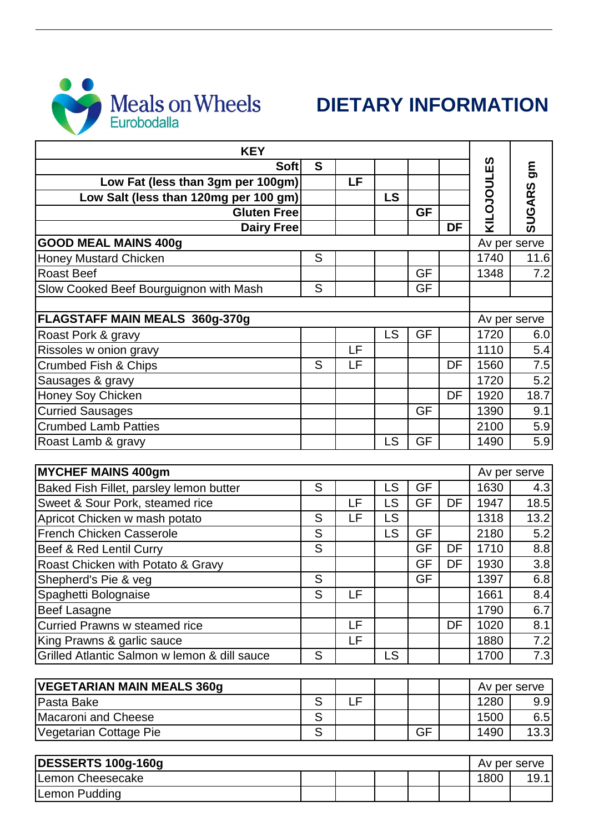

Lemon Pudding

## **DIETARY INFORMATION**

| <b>KEY</b>                                                                 |   |    |           |           |           |              |               |
|----------------------------------------------------------------------------|---|----|-----------|-----------|-----------|--------------|---------------|
| <b>Soft</b>                                                                | S |    |           |           |           |              | mg            |
| Low Fat (less than 3gm per 100gm)                                          |   | LF |           |           |           |              |               |
| Low Salt (less than 120mg per 100 gm)                                      |   |    | <b>LS</b> |           |           |              |               |
| <b>Gluten Free</b>                                                         |   |    |           | <b>GF</b> |           | KILOJOULES   | <b>SUGARS</b> |
| Dairy Free                                                                 |   |    |           |           | <b>DF</b> |              |               |
| <b>GOOD MEAL MAINS 400g</b>                                                |   |    |           |           |           |              | Av per serve  |
| <b>Honey Mustard Chicken</b>                                               | S |    |           |           |           | 1740         | 11.6          |
| <b>Roast Beef</b>                                                          |   |    |           | <b>GF</b> |           | 1348         | 7.2           |
| Slow Cooked Beef Bourguignon with Mash                                     | S |    |           | <b>GF</b> |           |              |               |
| FLAGSTAFF MAIN MEALS 360g-370g                                             |   |    |           |           |           | Av per serve |               |
| Roast Pork & gravy                                                         |   |    | <b>LS</b> | <b>GF</b> |           | 1720         | 6.0           |
| Rissoles w onion gravy                                                     |   | LF |           |           |           | 1110         | 5.4           |
| Crumbed Fish & Chips                                                       | S | LF |           |           | DF        | 1560         | 7.5           |
| Sausages & gravy                                                           |   |    |           |           |           | 1720         | 5.2           |
| Honey Soy Chicken                                                          |   |    |           |           | DF        | 1920         | 18.7          |
| <b>Curried Sausages</b>                                                    |   |    |           | <b>GF</b> |           | 1390         | 9.1           |
| <b>Crumbed Lamb Patties</b>                                                |   |    |           |           |           | 2100         | 5.9           |
| Roast Lamb & gravy                                                         |   |    | <b>LS</b> | <b>GF</b> |           | 1490         | 5.9           |
|                                                                            |   |    |           |           |           |              |               |
| <b>MYCHEF MAINS 400gm</b>                                                  |   |    |           |           |           |              | Av per serve  |
|                                                                            | S |    | <b>LS</b> | <b>GF</b> |           | 1630         | 4.3           |
| Baked Fish Fillet, parsley lemon butter<br>Sweet & Sour Pork, steamed rice |   | LF | LS        | <b>GF</b> | DF        | 1947         | 18.5          |
| Apricot Chicken w mash potato                                              | S | LF | LS        |           |           | 1318         | 13.2          |
| <b>French Chicken Casserole</b>                                            | S |    | LS        | <b>GF</b> |           | 2180         | 5.2           |
|                                                                            | S |    |           | <b>GF</b> | DF        | 1710         | 8.8           |
| Beef & Red Lentil Curry<br>Roast Chicken with Potato & Gravy               |   |    |           | <b>GF</b> | DF        | 1930         | 3.8           |
| Shepherd's Pie & veg                                                       | S |    |           | <b>GF</b> |           | 1397         | 6.8           |
| Spaghetti Bolognaise                                                       | S | LF |           |           |           | 1661         | 8.4           |
| <b>Beef Lasagne</b>                                                        |   |    |           |           |           | 1790         | 6.7           |
| <b>Curried Prawns w steamed rice</b>                                       |   | LF |           |           | DF        | 1020         | 8.1           |
| King Prawns & garlic sauce                                                 |   | LF |           |           |           | 1880         | 7.2           |
| Grilled Atlantic Salmon w lemon & dill sauce                               | S |    | <b>LS</b> |           |           | 1700         | 7.3           |
|                                                                            |   |    |           |           |           |              | Av per serve  |
| <b>VEGETARIAN MAIN MEALS 360g</b><br>Pasta Bake                            | S | LF |           |           |           | 1280         | 9.9           |
| <b>Macaroni and Cheese</b>                                                 | S |    |           |           |           | 1500         | 6.5           |
| Vegetarian Cottage Pie                                                     | S |    |           | <b>GF</b> |           | 1490         | 13.3          |
| DESSERTS 100g-160g                                                         |   |    |           |           |           |              | Av per serve  |